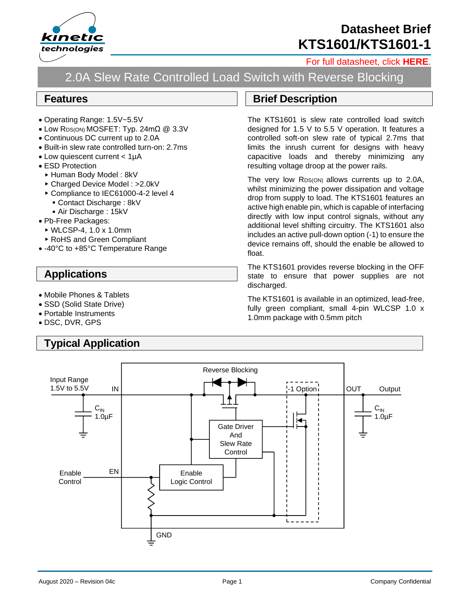

## **Datasheet Brief KTS1601/KTS1601-1**

#### [For full datasheet, click](https://www.kinet-ic.com/sample-buy/request-document/?part=KTS1601-KTS1601-1%20Full%20Datasheet) **HERE**.

# 2.0A Slew Rate Controlled Load Switch with Reverse Blocking

#### **Features**

- Operating Range: 1.5V~5.5V
- Low RDS(ON) MOSFET: Typ. 24mΩ @ 3.3V
- Continuous DC current up to 2.0A
- Built-in slew rate controlled turn-on: 2.7ms
- Low quiescent current < 1µA
- ESD Protection
	- ▶ Human Body Model: 8kV
	- Charged Device Model : >2.0kV
	- ▶ Compliance to IEC61000-4-2 level 4
		- Contact Discharge : 8kV
		- Air Discharge : 15kV
- Pb-Free Packages:
	- WLCSP-4, 1.0 x 1.0mm
- RoHS and Green Compliant
- -40°C to +85°C Temperature Range

### **Applications**

- Mobile Phones & Tablets
- SSD (Solid State Drive)
- Portable Instruments
- DSC, DVR, GPS

### **Typical Application**

#### **Brief Description**

The KTS1601 is slew rate controlled load switch designed for 1.5 V to 5.5 V operation. It features a controlled soft-on slew rate of typical 2.7ms that limits the inrush current for designs with heavy capacitive loads and thereby minimizing any resulting voltage droop at the power rails.

The very low RDS(ON) allows currents up to 2.0A, whilst minimizing the power dissipation and voltage drop from supply to load. The KTS1601 features an active high enable pin, which is capable of interfacing directly with low input control signals, without any additional level shifting circuitry. The KTS1601 also includes an active pull-down option (-1) to ensure the device remains off, should the enable be allowed to float.

The KTS1601 provides reverse blocking in the OFF state to ensure that power supplies are not discharged.

The KTS1601 is available in an optimized, lead-free, fully green compliant, small 4-pin WLCSP 1.0 x 1.0mm package with 0.5mm pitch